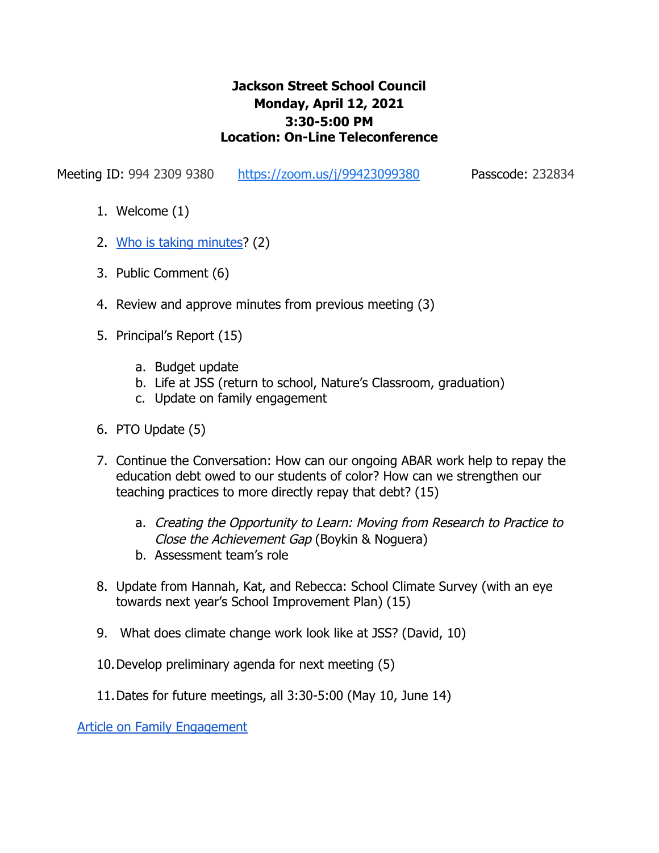## **Jackson Street School Council Monday, April 12, 2021 3:30-5:00 PM Location: On-Line Teleconference**

Meeting ID: 994 2309 9380 https://zoom.us/j/99423099380 Passcode: 232834

- 1. Welcome (1)
- 2. Who is taking minutes? (2)
- 3. Public Comment (6)
- 4. Review and approve minutes from previous meeting (3)
- 5. Principal's Report (15)
	- a. Budget update
	- b. Life at JSS (return to school, Nature's Classroom, graduation)
	- c. Update on family engagement
- 6. PTO Update (5)
- 7. Continue the Conversation: How can our ongoing ABAR work help to repay the education debt owed to our students of color? How can we strengthen our teaching practices to more directly repay that debt? (15)
	- a. Creating the Opportunity to Learn: Moving from Research to Practice to Close the Achievement Gap (Boykin & Noguera)
	- b. Assessment team's role
- 8. Update from Hannah, Kat, and Rebecca: School Climate Survey (with an eye towards next year's School Improvement Plan) (15)
- 9. What does climate change work look like at JSS? (David, 10)
- 10.Develop preliminary agenda for next meeting (5)
- 11.Dates for future meetings, all 3:30-5:00 (May 10, June 14)

Article on Family Engagement